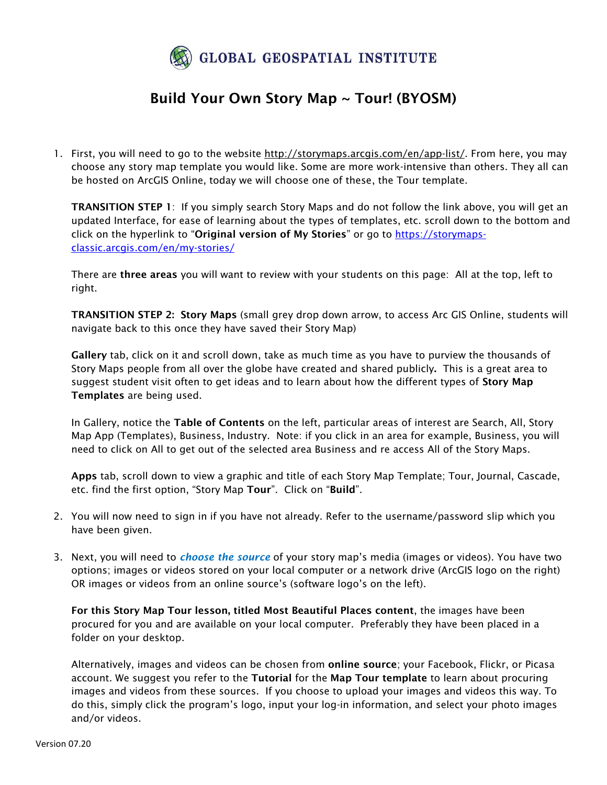

## Build Your Own Story Map ~ Tour! (BYOSM)

1. First, you will need to go to the website [http://storymaps.arcgis.com/en/app-list/.](http://storymaps.arcgis.com/en/app-list/) From here, you may choose any story map template you would like. Some are more work-intensive than others. They all can be hosted on ArcGIS Online, today we will choose one of these, the Tour template.

TRANSITION STEP 1: If you simply search Story Maps and do not follow the link above, you will get an updated Interface, for ease of learning about the types of templates, etc. scroll down to the bottom and click on the hyperlink to "Original version of My Stories" or go to [https://storymaps](https://storymaps-classic.arcgis.com/en/my-stories/)[classic.arcgis.com/en/my-stories/](https://storymaps-classic.arcgis.com/en/my-stories/)

There are three areas you will want to review with your students on this page: All at the top, left to right.

TRANSITION STEP 2: Story Maps (small grey drop down arrow, to access Arc GIS Online, students will navigate back to this once they have saved their Story Map)

Gallery tab, click on it and scroll down, take as much time as you have to purview the thousands of Story Maps people from all over the globe have created and shared publicly. This is a great area to suggest student visit often to get ideas and to learn about how the different types of Story Map Templates are being used.

In Gallery, notice the Table of Contents on the left, particular areas of interest are Search, All, Story Map App (Templates), Business, Industry. Note: if you click in an area for example, Business, you will need to click on All to get out of the selected area Business and re access All of the Story Maps.

Apps tab, scroll down to view a graphic and title of each Story Map Template; Tour, Journal, Cascade, etc. find the first option, "Story Map Tour". Click on "Build".

- 2. You will now need to sign in if you have not already. Refer to the username/password slip which you have been given.
- 3. Next, you will need to *choose the source* of your story map's media (images or videos). You have two options; images or videos stored on your local computer or a network drive (ArcGIS logo on the right) OR images or videos from an online source's (software logo's on the left).

For this Story Map Tour lesson, titled Most Beautiful Places content, the images have been procured for you and are available on your local computer. Preferably they have been placed in a folder on your desktop.

Alternatively, images and videos can be chosen from online source; your Facebook, Flickr, or Picasa account. We suggest you refer to the Tutorial for the Map Tour template to learn about procuring images and videos from these sources. If you choose to upload your images and videos this way. To do this, simply click the program's logo, input your log-in information, and select your photo images and/or videos.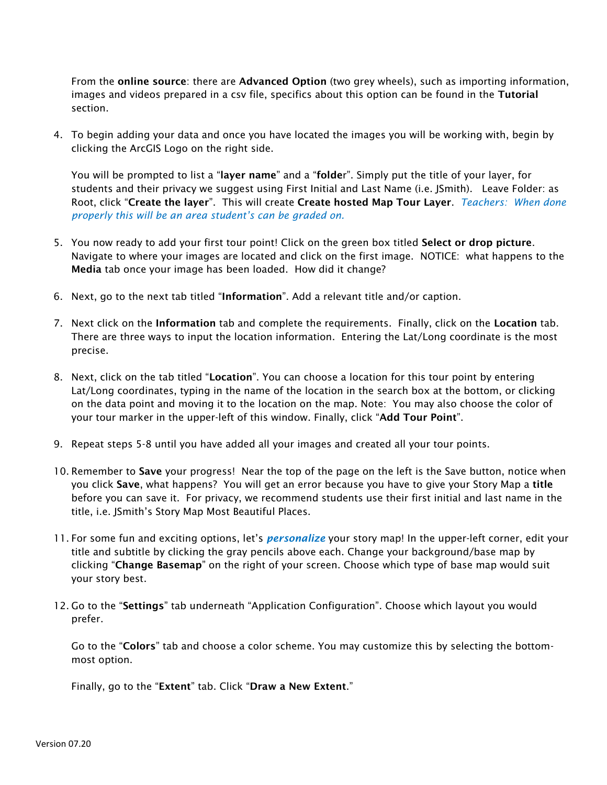From the online source: there are Advanced Option (two grey wheels), such as importing information, images and videos prepared in a csv file, specifics about this option can be found in the Tutorial section.

4. To begin adding your data and once you have located the images you will be working with, begin by clicking the ArcGIS Logo on the right side.

You will be prompted to list a "layer name" and a "folder". Simply put the title of your layer, for students and their privacy we suggest using First Initial and Last Name (i.e. JSmith). Leave Folder: as Root, click "Create the layer". This will create Create hosted Map Tour Layer. *Teachers: When done properly this will be an area student's can be graded on.* 

- 5. You now ready to add your first tour point! Click on the green box titled Select or drop picture. Navigate to where your images are located and click on the first image. NOTICE: what happens to the Media tab once your image has been loaded. How did it change?
- 6. Next, go to the next tab titled "Information". Add a relevant title and/or caption.
- 7. Next click on the Information tab and complete the requirements. Finally, click on the Location tab. There are three ways to input the location information. Entering the Lat/Long coordinate is the most precise.
- 8. Next, click on the tab titled "Location". You can choose a location for this tour point by entering Lat/Long coordinates, typing in the name of the location in the search box at the bottom, or clicking on the data point and moving it to the location on the map. Note: You may also choose the color of your tour marker in the upper-left of this window. Finally, click "Add Tour Point".
- 9. Repeat steps 5-8 until you have added all your images and created all your tour points.
- 10. Remember to Save your progress! Near the top of the page on the left is the Save button, notice when you click Save, what happens? You will get an error because you have to give your Story Map a title before you can save it. For privacy, we recommend students use their first initial and last name in the title, i.e. JSmith's Story Map Most Beautiful Places.
- 11. For some fun and exciting options, let's *personalize* your story map! In the upper-left corner, edit your title and subtitle by clicking the gray pencils above each. Change your background/base map by clicking "Change Basemap" on the right of your screen. Choose which type of base map would suit your story best.
- 12. Go to the "Settings" tab underneath "Application Configuration". Choose which layout you would prefer.

Go to the "Colors" tab and choose a color scheme. You may customize this by selecting the bottommost option.

Finally, go to the "Extent" tab. Click "Draw a New Extent."